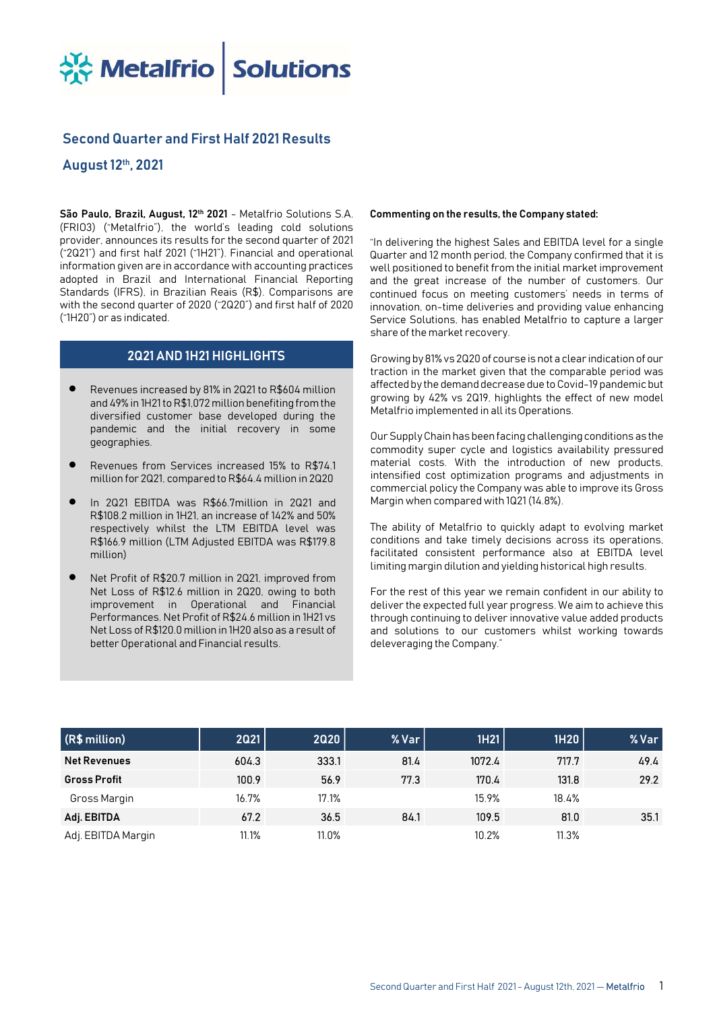**A Metalfrio Solutions** 

# Second Quarter and First Half 2021 Results

# August 12th, 2021

São Paulo, Brazil, August, 12<sup>th</sup> 2021 - Metalfrio Solutions S.A. (FRIO3) ("Metalfrio"), the world's leading cold solutions provider, announces its results for the second quarter of 2021 ("2Q21") and first half 2021 ("1H21"). Financial and operational information given are in accordance with accounting practices adopted in Brazil and International Financial Reporting Standards (IFRS), in Brazilian Reais (R\$). Comparisons are with the second quarter of 2020 ("2Q20") and first half of 2020 ("1H20") or as indicated.

## 2Q21 AND 1H21 HIGHLIGHTS

- Revenues increased by 81% in 2Q21 to R\$604 million and 49% in 1H21 to R\$1,072 million benefiting from the diversified customer base developed during the pandemic and the initial recovery in some geographies.
- Revenues from Services increased 15% to R\$74.1 million for 2Q21, compared to R\$64.4 million in 2Q20
- In 2Q21 EBITDA was R\$66.7million in 2Q21 and R\$108.2 million in 1H21, an increase of 142% and 50% respectively whilst the LTM EBITDA level was R\$166.9 million (LTM Adjusted EBITDA was R\$179.8 million)
- Net Profit of R\$20.7 million in 2Q21, improved from Net Loss of R\$12.6 million in 2Q20, owing to both improvement in Operational and Financial Performances. Net Profit of R\$24.6 million in 1H21 vs Net Loss of R\$120.0 million in 1H20 also as a result of better Operational and Financial results.

#### Commenting on the results, the Company stated:

"In delivering the highest Sales and EBITDA level for a single Quarter and 12 month period, the Company confirmed that it is well positioned to benefit from the initial market improvement and the great increase of the number of customers. Our continued focus on meeting customers' needs in terms of innovation, on-time deliveries and providing value enhancing Service Solutions, has enabled Metalfrio to capture a larger share of the market recovery.

Growing by 81% vs 2Q20 of course is not a clear indication of our traction in the market given that the comparable period was affected by the demand decrease due to Covid-19 pandemic but growing by 42% vs 2Q19, highlights the effect of new model Metalfrio implemented in all its Operations.

Our Supply Chain has been facing challenging conditions as the commodity super cycle and logistics availability pressured material costs. With the introduction of new products, intensified cost optimization programs and adjustments in commercial policy the Company was able to improve its Gross Margin when compared with 1Q21 (14.8%).

The ability of Metalfrio to quickly adapt to evolving market conditions and take timely decisions across its operations, facilitated consistent performance also at EBITDA level limiting margin dilution and yielding historical high results.

For the rest of this year we remain confident in our ability to deliver the expected full year progress. We aim to achieve this through continuing to deliver innovative value added products and solutions to our customers whilst working towards deleveraging the Company."

| (R\$ million)       | <b>2Q21</b> | 2020  | $%$ Var $ $ | 1H21   | 1H20  | % Var |
|---------------------|-------------|-------|-------------|--------|-------|-------|
| <b>Net Revenues</b> | 604.3       | 333.1 | 81.4        | 1072.4 | 717.7 | 49.4  |
| <b>Gross Profit</b> | 100.9       | 56.9  | 77.3        | 170.4  | 131.8 | 29.2  |
| Gross Margin        | 16.7%       | 17.1% |             | 15.9%  | 18.4% |       |
| Adj. EBITDA         | 67.2        | 36.5  | 84.1        | 109.5  | 81.0  | 35.1  |
| Adj. EBITDA Margin  | 11.1%       | 11.0% |             | 10.2%  | 11.3% |       |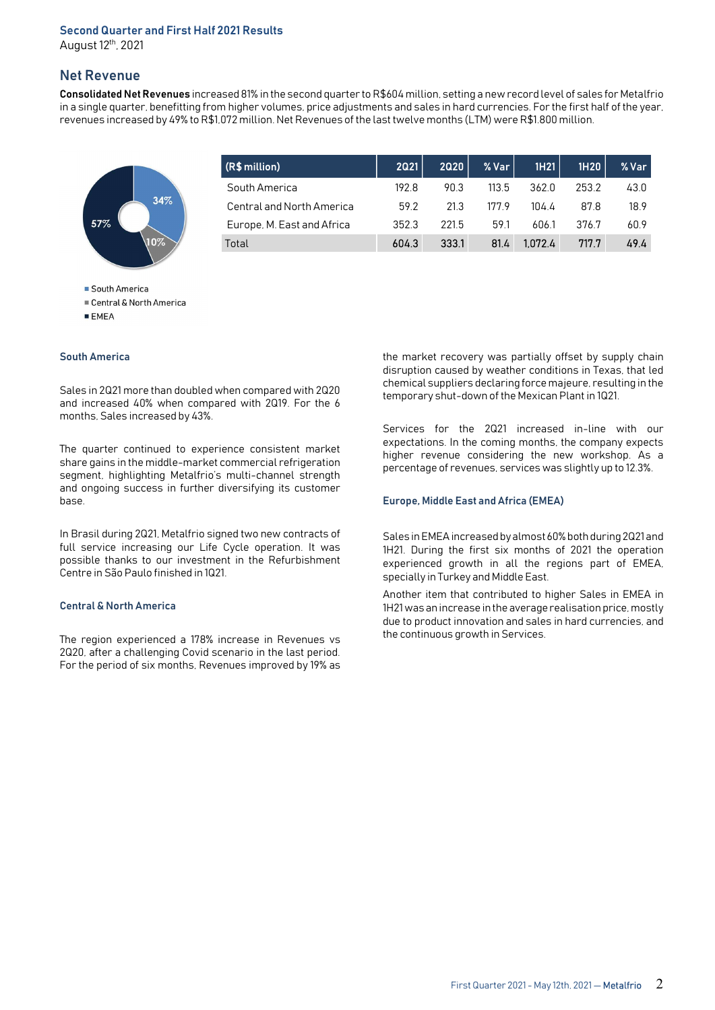# Second Quarter and First Half 2021 Results

August 12th, 2021

# Net Revenue

Consolidated Net Revenues increased 81% in the second quarter to R\$604 million, setting a new record level of sales for Metalfrio in a single quarter, benefitting from higher volumes, price adjustments and sales in hard currencies. For the first half of the year, revenues increased by 49% to R\$1,072 million. Net Revenues of the last twelve months (LTM) were R\$1.800 million.



| (R\$ million)              | <b>2021</b> | 2020  | $%$ Var $ $ | 1H21    | 1H20  | % Var |
|----------------------------|-------------|-------|-------------|---------|-------|-------|
| South America              | 192 B       | 90 3  | 113.5       | 362.0   | 253.2 | 43.0  |
| Central and North America  | 592         | 21.3  | 1779        | 104 4   | 878   | 18.9  |
| Europe, M. East and Africa | 352.3       | 221.5 | 59.1        | 606.1   | 376.7 | 60.9  |
| Total                      | 604.3       | 333.1 | 81.4        | 1.072.4 | 717.7 | 49.4  |

South America

■ Central & North America

 $E$  EMEA

#### South America

Sales in 2Q21 more than doubled when compared with 2Q20 and increased 40% when compared with 2Q19. For the 6 months, Sales increased by 43%.

The quarter continued to experience consistent market share gains in the middle-market commercial refrigeration segment, highlighting Metalfrio's multi-channel strength and ongoing success in further diversifying its customer base.

In Brasil during 2Q21, Metalfrio signed two new contracts of full service increasing our Life Cycle operation. It was possible thanks to our investment in the Refurbishment Centre in São Paulo finished in 1Q21.

#### Central & North America

The region experienced a 178% increase in Revenues vs 2Q20, after a challenging Covid scenario in the last period. For the period of six months, Revenues improved by 19% as

the market recovery was partially offset by supply chain disruption caused by weather conditions in Texas, that led chemical suppliers declaring force majeure, resulting in the temporary shut-down of the Mexican Plant in 1Q21.

Services for the 2Q21 increased in-line with our expectations. In the coming months, the company expects higher revenue considering the new workshop. As a percentage of revenues, services was slightly up to 12.3%.

#### Europe, Middle East and Africa (EMEA)

Sales in EMEA increased by almost 60% both during 2Q21 and 1H21. During the first six months of 2021 the operation experienced growth in all the regions part of EMEA, specially in Turkey and Middle East.

Another item that contributed to higher Sales in EMEA in 1H21 was an increase in the average realisation price, mostly due to product innovation and sales in hard currencies, and the continuous growth in Services.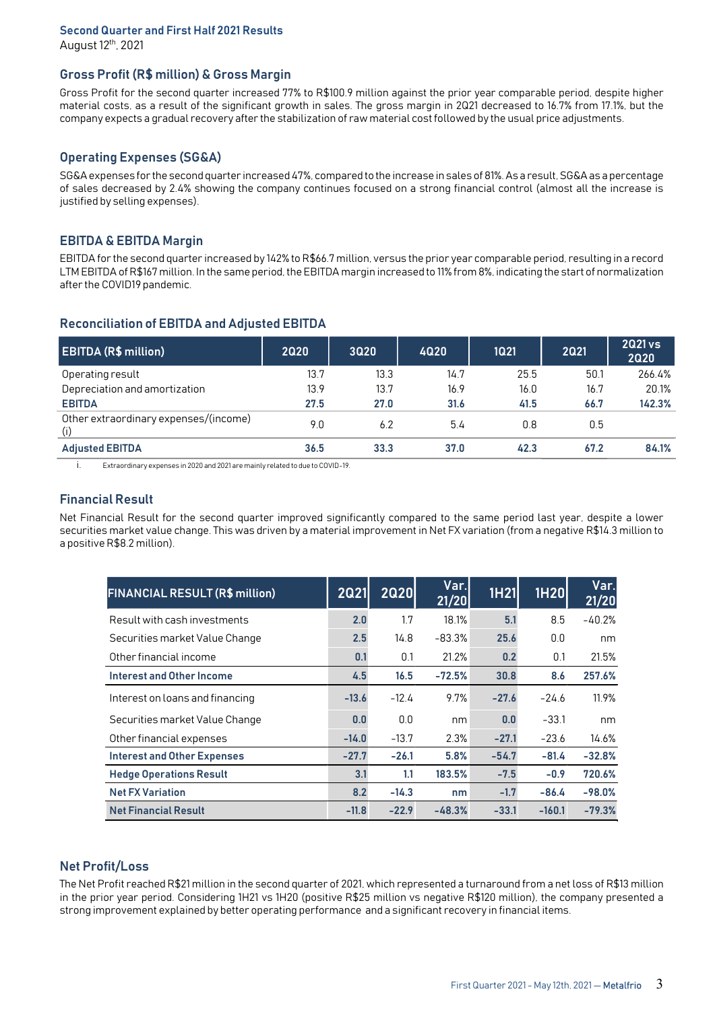# Second Quarter and First Half 2021 Results

August 12th, 2021

# Gross Profit (R\$ million) & Gross Margin

Gross Profit for the second quarter increased 77% to R\$100.9 million against the prior year comparable period, despite higher material costs, as a result of the significant growth in sales. The gross margin in 2Q21 decreased to 16.7% from 17.1%, but the company expects a gradual recovery after the stabilization of raw material cost followed by the usual price adjustments.

# Operating Expenses (SG&A)

SG&A expenses for the second quarter increased 47%, compared to the increase in sales of 81%. As a result, SG&A as a percentage of sales decreased by 2.4% showing the company continues focused on a strong financial control (almost all the increase is justified by selling expenses).

# EBITDA & EBITDA Margin

EBITDA for the second quarter increased by 142% to R\$66.7 million, versus the prior year comparable period, resulting in a record LTM EBITDA of R\$167 million. In the same period, the EBITDA margin increased to 11% from 8%, indicating the start of normalization after the COVID19 pandemic.

| <b>EBITDA (R\$ million)</b>                  | 2020 | 3020 | 4020 | 1Q21 | 2021 | 2021 vs<br><b>2020</b> |
|----------------------------------------------|------|------|------|------|------|------------------------|
| Operating result                             | 13.7 | 13.3 | 14.7 | 25.5 | 50.1 | 266.4%                 |
| Depreciation and amortization                | 13.9 | 13.7 | 16.9 | 16.0 | 16.7 | 20.1%                  |
| <b>EBITDA</b>                                | 27.5 | 27.0 | 31.6 | 41.5 | 66.7 | 142.3%                 |
| Other extraordinary expenses/(income)<br>(i) | 9.0  | 6.2  | 5.4  | 0.8  | 0.5  |                        |
| <b>Adjusted EBITDA</b>                       | 36.5 | 33.3 | 37.0 | 42.3 | 67.2 | 84.1%                  |

## Reconciliation of EBITDA and Adjusted EBITDA

i. Extraordinary expenses in 2020 and 2021 are mainly related to due to COVID-19.

# Financial Result

Net Financial Result for the second quarter improved significantly compared to the same period last year, despite a lower securities market value change. This was driven by a material improvement in Net FX variation (from a negative R\$14.3 million to a positive R\$8.2 million).

| <b>FINANCIAL RESULT (R\$ million)</b> | <b>2021</b> | <b>2020</b> | Var.<br>21/20 | <b>1H21</b> | 1H20     | Var.<br>21/20 |
|---------------------------------------|-------------|-------------|---------------|-------------|----------|---------------|
| Result with cash investments          | 2.0         | 1.7         | 18.1%         | 5.1         | 8.5      | $-40.2%$      |
| Securities market Value Change        | 2.5         | 14.8        | $-83.3%$      | 25.6        | 0.0      | nm            |
| Other financial income                | 0.1         | 0.1         | 21.2%         | 0.2         | 0.1      | 21.5%         |
| Interest and Other Income             | 4.5         | 16.5        | $-72.5%$      | 30.8        | 8.6      | 257.6%        |
| Interest on loans and financing       | $-13.6$     | $-12.4$     | 9.7%          | $-27.6$     | $-24.6$  | 11.9%         |
| Securities market Value Change        | 0.0         | 0.0         | nm            | 0.0         | $-33.1$  | nm            |
| Other financial expenses              | $-14.0$     | $-13.7$     | 2.3%          | $-27.1$     | $-23.6$  | 14.6%         |
| <b>Interest and Other Expenses</b>    | $-27.7$     | $-26.1$     | 5.8%          | $-54.7$     | $-81.4$  | $-32.8%$      |
| <b>Hedge Operations Result</b>        | 3.1         | 1.1         | 183.5%        | $-7.5$      | $-0.9$   | 720.6%        |
| <b>Net FX Variation</b>               | 8.2         | $-14.3$     | nm            | $-1.7$      | $-86.4$  | $-98.0%$      |
| <b>Net Financial Result</b>           | $-11.8$     | $-22.9$     | $-48.3%$      | $-33.1$     | $-160.1$ | $-79.3%$      |

# Net Profit/Loss

The Net Profit reached R\$21 million in the second quarter of 2021, which represented a turnaround from a net loss of R\$13 million in the prior year period. Considering 1H21 vs 1H20 (positive R\$25 million vs negative R\$120 million), the company presented a strong improvement explained by better operating performance and a significant recovery in financial items.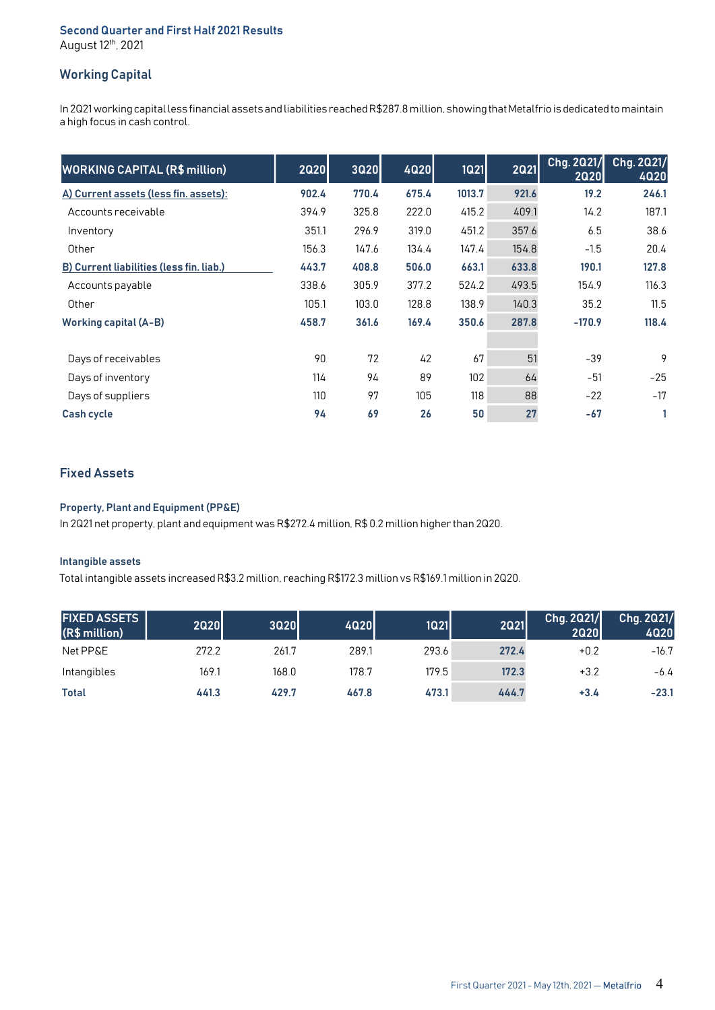### Second Quarter and First Half 2021 Results August 12th, 2021

# Working Capital

In 2Q21 working capital less financial assets and liabilities reached R\$287.8 million, showing that Metalfrio is dedicated to maintain a high focus in cash control.

| <b>WORKING CAPITAL (R\$ million)</b>     | 2020  | <b>3Q20</b> | 4Q20  | <b>1Q21</b> | <b>2021</b> | Chg. 2021/<br><b>2Q20</b> | Chg. 2021/<br><b>4020</b> |
|------------------------------------------|-------|-------------|-------|-------------|-------------|---------------------------|---------------------------|
| A) Current assets (less fin. assets):    | 902.4 | 770.4       | 675.4 | 1013.7      | 921.6       | 19.2                      | 246.1                     |
| Accounts receivable                      | 394.9 | 325.8       | 222.0 | 415.2       | 409.1       | 14.2                      | 187.1                     |
| Inventory                                | 351.1 | 296.9       | 319.0 | 451.2       | 357.6       | 6.5                       | 38.6                      |
| Other                                    | 156.3 | 147.6       | 134.4 | 147.4       | 154.8       | $-1.5$                    | 20.4                      |
| B) Current liabilities (less fin. liab.) | 443.7 | 408.8       | 506.0 | 663.1       | 633.8       | 190.1                     | 127.8                     |
| Accounts payable                         | 338.6 | 305.9       | 377.2 | 524.2       | 493.5       | 154.9                     | 116.3                     |
| Other                                    | 105.1 | 103.0       | 128.8 | 138.9       | 140.3       | 35.2                      | 11.5                      |
| <b>Working capital (A-B)</b>             | 458.7 | 361.6       | 169.4 | 350.6       | 287.8       | $-170.9$                  | 118.4                     |
|                                          |       |             |       |             |             |                           |                           |
| Days of receivables                      | 90    | 72          | 42    | 67          | 51          | $-39$                     | 9                         |
| Days of inventory                        | 114   | 94          | 89    | 102         | 64          | $-51$                     | $-25$                     |
| Days of suppliers                        | 110   | 97          | 105   | 118         | 88          | $-22$                     | $-17$                     |
| <b>Cash cycle</b>                        | 94    | 69          | 26    | 50          | 27          | $-67$                     |                           |

# Fixed Assets

## Property, Plant and Equipment (PP&E)

In 2Q21 net property, plant and equipment was R\$272.4 million, R\$ 0.2 million higher than 2Q20.

#### Intangible assets

Total intangible assets increased R\$3.2 million, reaching R\$172.3 million vs R\$169.1 million in 2Q20.

| <b>FIXED ASSETS</b><br>(R\$ million) | <b>2Q20</b> | <b>3Q20</b> | 4Q20  | 1Q21  | 2021  | Chg. 2021/<br>2020 | Chg. 2021/<br>4Q20 |
|--------------------------------------|-------------|-------------|-------|-------|-------|--------------------|--------------------|
| Net PP&E                             | 272.2       | 261.7       | 289.1 | 293.6 | 272.4 | $+0.2$             | $-16.7$            |
| Intangibles                          | 169.1       | 168.0       | 178.7 | 179.5 | 172.3 | $+3.2$             | $-6.4$             |
| <b>Total</b>                         | 441.3       | 429.7       | 467.8 | 473.1 | 444.7 | $+3.4$             | $-23.1$            |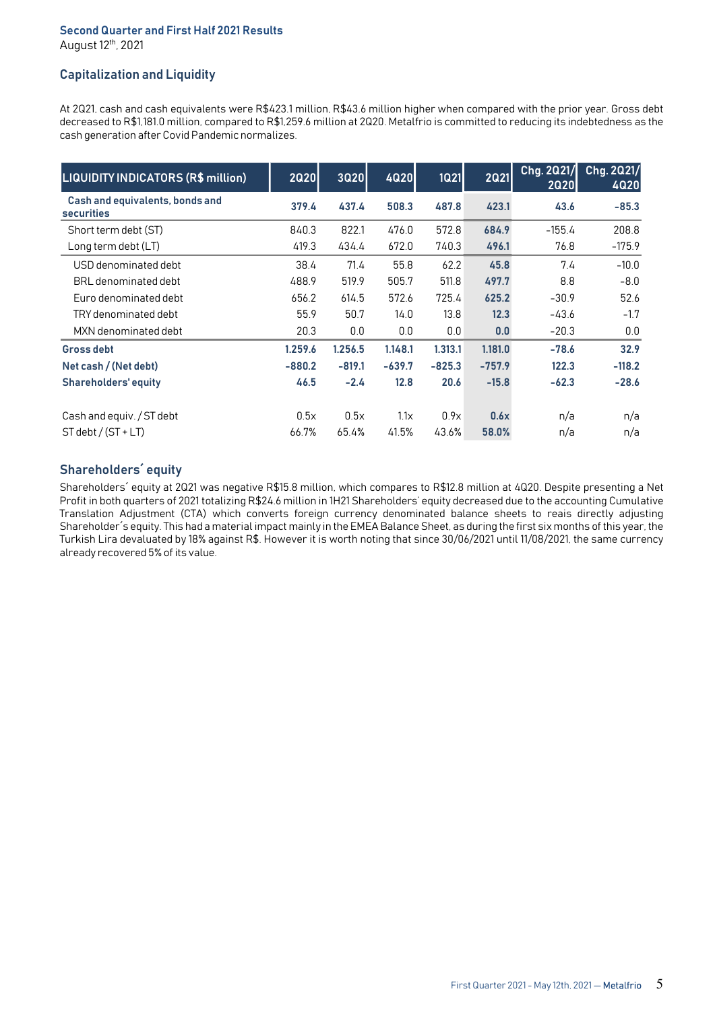#### Second Quarter and First Half 2021 Results August 12th, 2021

# Capitalization and Liquidity

At 2Q21, cash and cash equivalents were R\$423.1 million, R\$43.6 million higher when compared with the prior year. Gross debt decreased to R\$1,181.0 million, compared to R\$1,259.6 million at 2Q20. Metalfrio is committed to reducing its indebtedness as the cash generation after Covid Pandemic normalizes.

| <b>LIQUIDITY INDICATORS (R\$ million)</b>     | 2020     | <b>3Q20</b> | <b>4Q20</b> | 1Q21     | <b>2Q21</b> | Chg. 2021/<br><b>2Q20</b> | Chg. 2021/<br>4020 |
|-----------------------------------------------|----------|-------------|-------------|----------|-------------|---------------------------|--------------------|
| Cash and equivalents, bonds and<br>securities | 379.4    | 437.4       | 508.3       | 487.8    | 423.1       | 43.6                      | $-85.3$            |
| Short term debt (ST)                          | 840.3    | 822.1       | 476.0       | 572.8    | 684.9       | $-155.4$                  | 208.8              |
| Long term debt (LT)                           | 419.3    | 434.4       | 672.0       | 740.3    | 496.1       | 76.8                      | $-175.9$           |
| USD denominated debt                          | 38.4     | 71.4        | 55.8        | 62.2     | 45.8        | 7.4                       | $-10.0$            |
| BRL denominated debt                          | 488.9    | 519.9       | 505.7       | 511.8    | 497.7       | 8.8                       | $-8.0$             |
| Euro denominated debt                         | 656.2    | 614.5       | 572.6       | 725.4    | 625.2       | $-30.9$                   | 52.6               |
| TRY denominated debt                          | 55.9     | 50.7        | 14.0        | 13.8     | 12.3        | $-43.6$                   | $-1.7$             |
| MXN denominated debt                          | 20.3     | 0.0         | 0.0         | 0.0      | 0.0         | $-20.3$                   | 0.0                |
| <b>Gross debt</b>                             | 1.259.6  | 1.256.5     | 1.148.1     | 1.313.1  | 1.181.0     | $-78.6$                   | 32.9               |
| Net cash / (Net debt)                         | $-880.2$ | $-819.1$    | $-639.7$    | $-825.3$ | $-757.9$    | 122.3                     | $-118.2$           |
| <b>Shareholders' equity</b>                   | 46.5     | $-2.4$      | 12.8        | 20.6     | $-15.8$     | $-62.3$                   | $-28.6$            |
| Cash and equiv. / ST debt                     | 0.5x     | 0.5x        | 1.1x        | 0.9x     | 0.6x        | n/a                       | n/a                |
|                                               |          |             |             |          |             |                           |                    |
| $ST$ debt / $(ST + LT)$                       | 66.7%    | 65.4%       | 41.5%       | 43.6%    | 58.0%       | n/a                       | n/a                |

# Shareholders´ equity

Shareholders´ equity at 2Q21 was negative R\$15.8 million, which compares to R\$12.8 million at 4Q20. Despite presenting a Net Profit in both quarters of 2021 totalizing R\$24.6 million in 1H21 Shareholders' equity decreased due to the accounting Cumulative Translation Adjustment (CTA) which converts foreign currency denominated balance sheets to reais directly adjusting Shareholder´s equity. This had a material impact mainly in the EMEA Balance Sheet, as during the first six months of this year, the Turkish Lira devaluated by 18% against R\$. However it is worth noting that since 30/06/2021 until 11/08/2021, the same currency already recovered 5% of its value.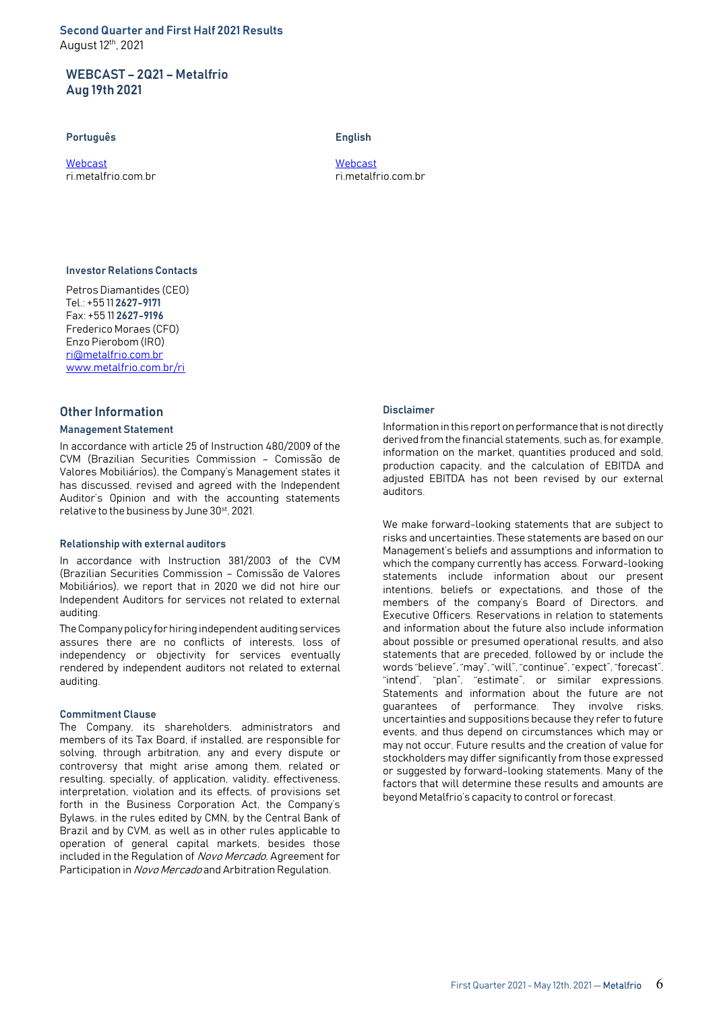Second Quarter and First Half 2021 Results August 12th, 2021

## WEBCAST – 2Q21 – Metalfrio Aug 19th 2021

#### Português **English**

Webcast Webcast

ri.metalfrio.com.br ri.metalfrio.com.br

## Investor Relations Contacts

Petros Diamantides (CEO) Tel.: +55 11 2627-9171 Fax: +55 11 2627-9196 Frederico Moraes (CFO) Enzo Pierobom (IRO) ri@metalfrio.com.br www.metalfrio.com.br/ri

### Other Information

#### Management Statement

In accordance with article 25 of Instruction 480/2009 of the CVM (Brazilian Securities Commission – Comissão de Valores Mobiliários), the Company's Management states it has discussed, revised and agreed with the Independent Auditor's Opinion and with the accounting statements relative to the business by June 30<sup>st</sup>, 2021.

#### Relationship with external auditors

In accordance with Instruction 381/2003 of the CVM (Brazilian Securities Commission – Comissão de Valores Mobiliários), we report that in 2020 we did not hire our Independent Auditors for services not related to external auditing.

The Company policy for hiring independent auditing services assures there are no conflicts of interests, loss of independency or objectivity for services eventually rendered by independent auditors not related to external auditing.

#### Commitment Clause

The Company, its shareholders, administrators and members of its Tax Board, if installed, are responsible for solving, through arbitration, any and every dispute or controversy that might arise among them, related or resulting, specially, of application, validity, effectiveness, interpretation, violation and its effects, of provisions set forth in the Business Corporation Act, the Company's Bylaws, in the rules edited by CMN, by the Central Bank of Brazil and by CVM, as well as in other rules applicable to operation of general capital markets, besides those included in the Regulation of Novo Mercado, Agreement for Participation in Novo Mercado and Arbitration Regulation.

#### Disclaimer

Information in this report on performance that is not directly derived from the financial statements, such as, for example, information on the market, quantities produced and sold, production capacity, and the calculation of EBITDA and adjusted EBITDA has not been revised by our external auditors.

We make forward-looking statements that are subject to risks and uncertainties. These statements are based on our Management's beliefs and assumptions and information to which the company currently has access. Forward-looking statements include information about our present intentions, beliefs or expectations, and those of the members of the company's Board of Directors, and Executive Officers. Reservations in relation to statements and information about the future also include information about possible or presumed operational results, and also statements that are preceded, followed by or include the words "believe", "may", "will", "continue", "expect", "forecast", "intend", "plan", "estimate", or similar expressions. Statements and information about the future are not guarantees of performance. They involve risks, uncertainties and suppositions because they refer to future events, and thus depend on circumstances which may or may not occur. Future results and the creation of value for stockholders may differ significantly from those expressed or suggested by forward-looking statements. Many of the factors that will determine these results and amounts are beyond Metalfrio's capacity to control or forecast.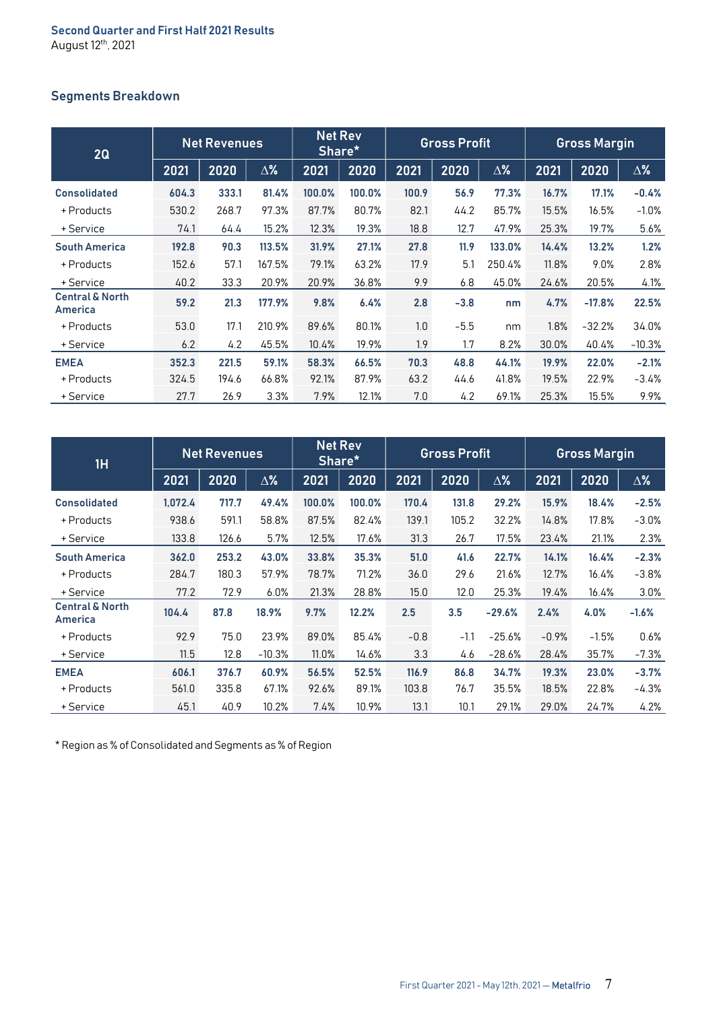# Segments Breakdown

| 2Q                                    |       | <b>Net Revenues</b> |            |        | <b>Net Rev</b><br>Share* |       | <b>Gross Profit</b> |            |       | <b>Gross Margin</b> |            |
|---------------------------------------|-------|---------------------|------------|--------|--------------------------|-------|---------------------|------------|-------|---------------------|------------|
|                                       | 2021  | 2020                | $\Delta\%$ | 2021   | 2020                     | 2021  | 2020                | $\Delta\%$ | 2021  | 2020                | $\Delta$ % |
| <b>Consolidated</b>                   | 604.3 | 333.1               | 81.4%      | 100.0% | 100.0%                   | 100.9 | 56.9                | 77.3%      | 16.7% | 17.1%               | $-0.4%$    |
| + Products                            | 530.2 | 268.7               | 97.3%      | 87.7%  | 80.7%                    | 82.1  | 44.2                | 85.7%      | 15.5% | 16.5%               | $-1.0%$    |
| + Service                             | 74.1  | 64.4                | 15.2%      | 12.3%  | 19.3%                    | 18.8  | 12.7                | 47.9%      | 25.3% | 19.7%               | 5.6%       |
| <b>South America</b>                  | 192.8 | 90.3                | 113.5%     | 31.9%  | 27.1%                    | 27.8  | 11.9                | 133.0%     | 14.4% | 13.2%               | 1.2%       |
| + Products                            | 152.6 | 57.1                | 167.5%     | 79.1%  | 63.2%                    | 17.9  | 5.1                 | 250.4%     | 11.8% | 9.0%                | 2.8%       |
| + Service                             | 40.2  | 33.3                | 20.9%      | 20.9%  | 36.8%                    | 9.9   | 6.8                 | 45.0%      | 24.6% | 20.5%               | 4.1%       |
| <b>Central &amp; North</b><br>America | 59.2  | 21.3                | 177.9%     | 9.8%   | 6.4%                     | 2.8   | $-3.8$              | nm         | 4.7%  | $-17.8%$            | 22.5%      |
| + Products                            | 53.0  | 17.1                | 210.9%     | 89.6%  | 80.1%                    | 1.0   | $-5.5$              | nm         | 1.8%  | $-32.2%$            | 34.0%      |
| + Service                             | 6.2   | 4.2                 | 45.5%      | 10.4%  | 19.9%                    | 1.9   | 1.7                 | 8.2%       | 30.0% | 40.4%               | $-10.3%$   |
| <b>EMEA</b>                           | 352.3 | 221.5               | 59.1%      | 58.3%  | 66.5%                    | 70.3  | 48.8                | 44.1%      | 19.9% | 22.0%               | $-2.1%$    |
| + Products                            | 324.5 | 194.6               | 66.8%      | 92.1%  | 87.9%                    | 63.2  | 44.6                | 41.8%      | 19.5% | 22.9%               | $-3.4%$    |
| + Service                             | 27.7  | 26.9                | 3.3%       | 7.9%   | 12.1%                    | 7.0   | 4.2                 | 69.1%      | 25.3% | 15.5%               | 9.9%       |

| 1H                                    |         | <b>Net Revenues</b> |            |        | <b>Net Rev</b><br>Share* |        | <b>Gross Profit</b> |            |         | <b>Gross Margin</b> |            |
|---------------------------------------|---------|---------------------|------------|--------|--------------------------|--------|---------------------|------------|---------|---------------------|------------|
|                                       | 2021    | 2020                | $\Delta\%$ | 2021   | 2020                     | 2021   | 2020                | $\Delta\%$ | 2021    | 2020                | $\Delta\%$ |
| <b>Consolidated</b>                   | 1,072.4 | 717.7               | 49.4%      | 100.0% | 100.0%                   | 170.4  | 131.8               | 29.2%      | 15.9%   | 18.4%               | $-2.5%$    |
| + Products                            | 938.6   | 591.1               | 58.8%      | 87.5%  | 82.4%                    | 139.1  | 105.2               | 32.2%      | 14.8%   | 17.8%               | $-3.0%$    |
| + Service                             | 133.8   | 126.6               | 5.7%       | 12.5%  | 17.6%                    | 31.3   | 26.7                | 17.5%      | 23.4%   | 21.1%               | 2.3%       |
| <b>South America</b>                  | 362.0   | 253.2               | 43.0%      | 33.8%  | 35.3%                    | 51.0   | 41.6                | 22.7%      | 14.1%   | 16.4%               | $-2.3%$    |
| + Products                            | 284.7   | 180.3               | 57.9%      | 78.7%  | 71.2%                    | 36.0   | 29.6                | 21.6%      | 12.7%   | 16.4%               | $-3.8%$    |
| + Service                             | 77.2    | 72.9                | 6.0%       | 21.3%  | 28.8%                    | 15.0   | 12.0                | 25.3%      | 19.4%   | 16.4%               | 3.0%       |
| <b>Central &amp; North</b><br>America | 104.4   | 87.8                | 18.9%      | 9.7%   | 12.2%                    | 2.5    | 3.5                 | $-29.6%$   | 2.4%    | 4.0%                | $-1.6%$    |
| + Products                            | 92.9    | 75.0                | 23.9%      | 89.0%  | 85.4%                    | $-0.8$ | $-1.1$              | $-25.6%$   | $-0.9%$ | $-1.5%$             | 0.6%       |
| + Service                             | 11.5    | 12.8                | $-10.3%$   | 11.0%  | 14.6%                    | 3.3    | 4.6                 | $-28.6%$   | 28.4%   | 35.7%               | $-7.3%$    |
| <b>EMEA</b>                           | 606.1   | 376.7               | 60.9%      | 56.5%  | 52.5%                    | 116.9  | 86.8                | 34.7%      | 19.3%   | 23.0%               | $-3.7%$    |
| + Products                            | 561.0   | 335.8               | 67.1%      | 92.6%  | 89.1%                    | 103.8  | 76.7                | 35.5%      | 18.5%   | 22.8%               | $-4.3%$    |
| + Service                             | 45.1    | 40.9                | 10.2%      | 7.4%   | 10.9%                    | 13.1   | 10.1                | 29.1%      | 29.0%   | 24.7%               | 4.2%       |

\* Region as % of Consolidated and Segments as % of Region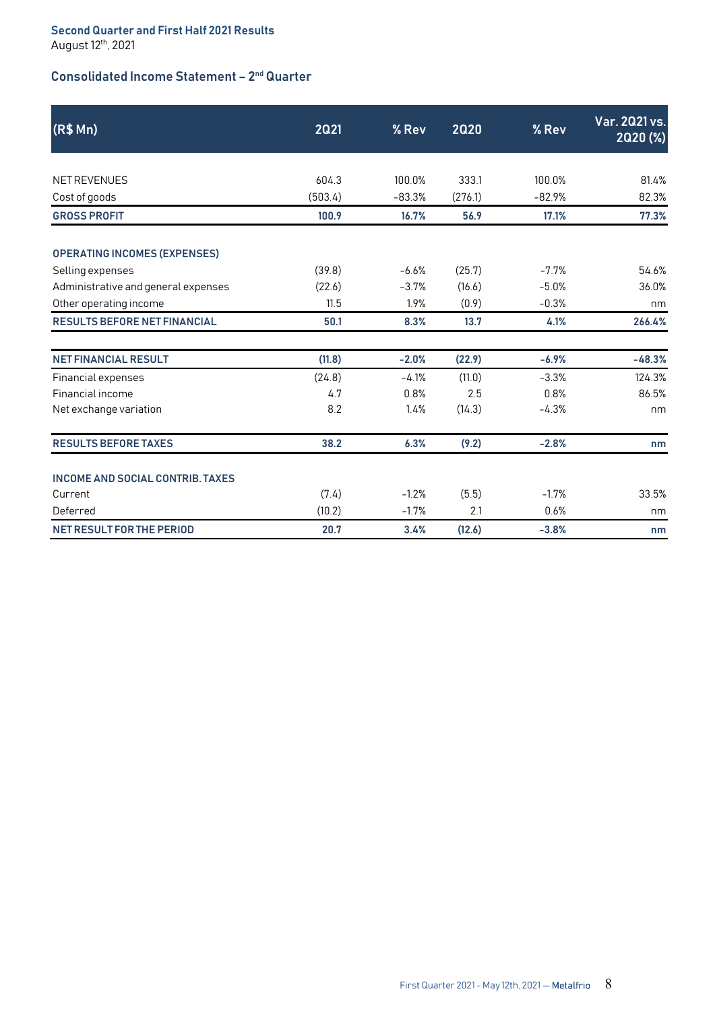# Consolidated Income Statement – 2nd Quarter

| (R\$Mn)                                 | 2021    | % Rev    | <b>2Q20</b> | % Rev    | Var. 2021 vs.<br>2020 (%) |
|-----------------------------------------|---------|----------|-------------|----------|---------------------------|
|                                         |         |          |             |          |                           |
| <b>NET REVENUES</b>                     | 604.3   | 100.0%   | 333.1       | 100.0%   | 81.4%                     |
| Cost of goods                           | (503.4) | $-83.3%$ | (276.1)     | $-82.9%$ | 82.3%                     |
| <b>GROSS PROFIT</b>                     | 100.9   | 16.7%    | 56.9        | 17.1%    | 77.3%                     |
| <b>OPERATING INCOMES (EXPENSES)</b>     |         |          |             |          |                           |
| Selling expenses                        | (39.8)  | $-6.6%$  | (25.7)      | $-7.7%$  | 54.6%                     |
| Administrative and general expenses     | (22.6)  | $-3.7%$  | (16.6)      | $-5.0%$  | 36.0%                     |
| Other operating income                  | 11.5    | 1.9%     | (0.9)       | $-0.3%$  | nm                        |
| <b>RESULTS BEFORE NET FINANCIAL</b>     | 50.1    | 8.3%     | 13.7        | 4.1%     | 266.4%                    |
| <b>NET FINANCIAL RESULT</b>             | (11.8)  | $-2.0%$  | (22.9)      | $-6.9%$  | $-48.3%$                  |
| Financial expenses                      | (24.8)  | $-4.1%$  | (11.0)      | $-3.3%$  | 124.3%                    |
| Financial income                        | 4.7     | 0.8%     | 2.5         | 0.8%     | 86.5%                     |
| Net exchange variation                  | 8.2     | 1.4%     | (14.3)      | $-4.3%$  | nm                        |
| <b>RESULTS BEFORE TAXES</b>             | 38.2    | 6.3%     | (9.2)       | $-2.8%$  | nm                        |
| <b>INCOME AND SOCIAL CONTRIB. TAXES</b> |         |          |             |          |                           |
| Current                                 | (7.4)   | $-1.2%$  | (5.5)       | $-1.7%$  | 33.5%                     |
| Deferred                                | (10.2)  | $-1.7%$  | 2.1         | 0.6%     | nm                        |
| <b>NET RESULT FOR THE PERIOD</b>        | 20.7    | 3.4%     | (12.6)      | $-3.8%$  | nm                        |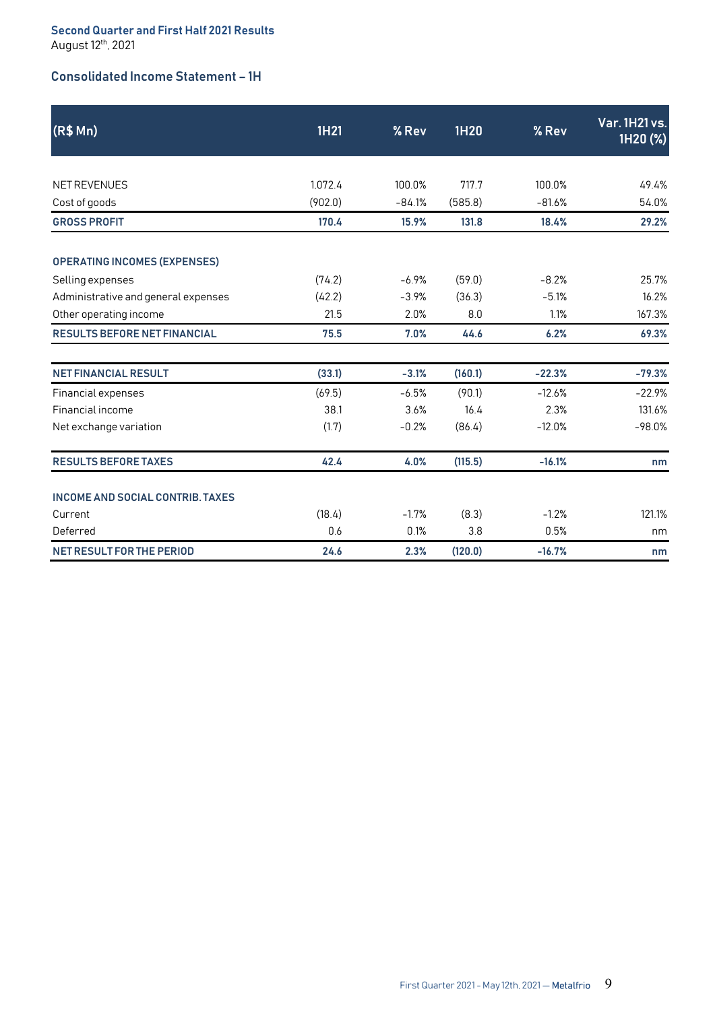### Second Quarter and First Half 2021 Results August 12<sup>th</sup>, 2021

# Consolidated Income Statement – 1H

| (R\$ Mn)                                | 1H21    | % Rev    | 1H20    | % Rev    | <b>Var. 1H21 vs.</b><br>1H20 (%) |
|-----------------------------------------|---------|----------|---------|----------|----------------------------------|
|                                         |         |          |         |          |                                  |
| NET REVENUES                            | 1,072.4 | 100.0%   | 717.7   | 100.0%   | 49.4%                            |
| Cost of goods                           | (902.0) | $-84.1%$ | (585.8) | $-81.6%$ | 54.0%                            |
| <b>GROSS PROFIT</b>                     | 170.4   | 15.9%    | 131.8   | 18.4%    | 29.2%                            |
| <b>OPERATING INCOMES (EXPENSES)</b>     |         |          |         |          |                                  |
| Selling expenses                        | (74.2)  | $-6.9%$  | (59.0)  | $-8.2%$  | 25.7%                            |
| Administrative and general expenses     | (42.2)  | $-3.9%$  | (36.3)  | $-5.1%$  | 16.2%                            |
| Other operating income                  | 21.5    | 2.0%     | 8.0     | 1.1%     | 167.3%                           |
| <b>RESULTS BEFORE NET FINANCIAL</b>     | 75.5    | 7.0%     | 44.6    | 6.2%     | 69.3%                            |
| <b>NET FINANCIAL RESULT</b>             | (33.1)  | $-3.1%$  | (160.1) | $-22.3%$ | $-79.3%$                         |
| Financial expenses                      | (69.5)  | $-6.5%$  | (90.1)  | $-12.6%$ | $-22.9%$                         |
| Financial income                        | 38.1    | 3.6%     | 16.4    | 2.3%     | 131.6%                           |
| Net exchange variation                  | (1.7)   | $-0.2%$  | (86.4)  | $-12.0%$ | $-98.0%$                         |
| <b>RESULTS BEFORE TAXES</b>             | 42.4    | 4.0%     | (115.5) | $-16.1%$ | nm                               |
| <b>INCOME AND SOCIAL CONTRIB. TAXES</b> |         |          |         |          |                                  |
| Current                                 | (18.4)  | $-1.7%$  | (8.3)   | $-1.2%$  | 121.1%                           |
| Deferred                                | 0.6     | 0.1%     | 3.8     | 0.5%     | nm                               |
| NET RESULT FOR THE PERIOD               | 24.6    | 2.3%     | (120.0) | $-16.7%$ | nm                               |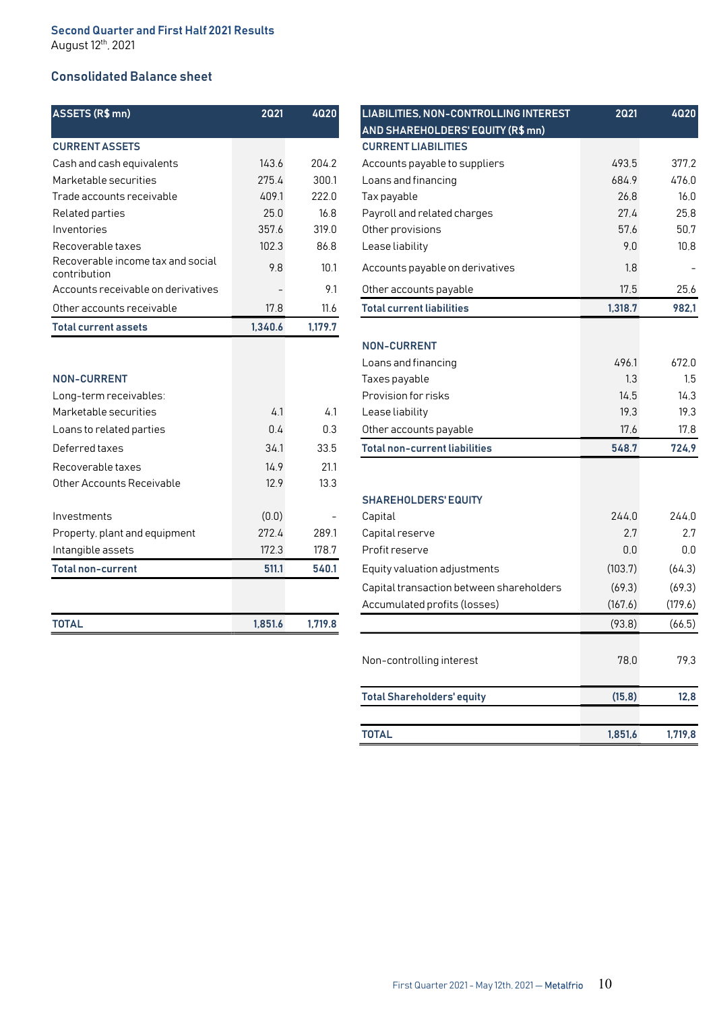# Consolidated Balance sheet

| ASSETS (R\$ mn)                                   | 2021    | 4020    | <b>LIABILITIES, NON-CON</b>      |
|---------------------------------------------------|---------|---------|----------------------------------|
|                                                   |         |         | <b>AND SHAREHOLDERS'</b>         |
| <b>CURRENT ASSETS</b>                             |         |         | <b>CURRENT LIABILITIES</b>       |
| Cash and cash equivalents                         | 143.6   | 204.2   | Accounts payable to su           |
| Marketable securities                             | 275.4   | 300.1   | Loans and financing              |
| Trade accounts receivable                         | 409.1   | 222.0   | Tax payable                      |
| Related parties                                   | 25.0    | 16.8    | Payroll and related cha          |
| Inventories                                       | 357.6   | 319.0   | Other provisions                 |
| Recoverable taxes                                 | 102.3   | 86.8    | Lease liability                  |
| Recoverable income tax and social<br>contribution | 9.8     | 10.1    | Accounts payable on do           |
| Accounts receivable on derivatives                |         | 9.1     | Other accounts payable           |
| Other accounts receivable                         | 17.8    | 11.6    | <b>Total current liabilities</b> |
| <b>Total current assets</b>                       | 1,340.6 | 1,179.7 |                                  |
|                                                   |         |         | <b>NON-CURRENT</b>               |
|                                                   |         |         | Loans and financing              |
| <b>NON-CURRENT</b>                                |         |         | Taxes payable                    |
| Long-term receivables:                            |         |         | Provision for risks              |
| Marketable securities                             | 4.1     | 4.1     | Lease liability                  |
| Loans to related parties                          | 0.4     | 0.3     | Other accounts payable           |
| Deferred taxes                                    | 34.1    | 33.5    | <b>Total non-current liabi</b>   |
| Recoverable taxes                                 | 14.9    | 21.1    |                                  |
| Other Accounts Receivable                         | 12.9    | 13.3    |                                  |
|                                                   |         |         | <b>SHAREHOLDERS' EQU</b>         |
| Investments                                       | (0.0)   |         | Capital                          |
| Property, plant and equipment                     | 272.4   | 289.1   | Capital reserve                  |
| Intangible assets                                 | 172.3   | 178.7   | Profit reserve                   |
| <b>Total non-current</b>                          | 511.1   | 540.1   | Equity valuation adjust          |
|                                                   |         |         | Capital transaction bet          |
|                                                   |         |         |                                  |

| <b>TOTAL</b><br>1,851.6 |         |
|-------------------------|---------|
|                         | 1,719.8 |

| ASSETS (R\$ mn)                                   | 2021    | 4020                     | LIABILITIES, NON-CONTROLLING INTEREST<br>AND SHAREHOLDERS' EQUITY (R\$ mn) | <b>2Q21</b> | 4020    |
|---------------------------------------------------|---------|--------------------------|----------------------------------------------------------------------------|-------------|---------|
| <b>CURRENT ASSETS</b>                             |         |                          | <b>CURRENT LIABILITIES</b>                                                 |             |         |
| Cash and cash equivalents                         | 143.6   | 204.2                    | Accounts payable to suppliers                                              | 493,5       | 377,2   |
| Marketable securities                             | 275.4   | 300.1                    | Loans and financing                                                        | 684.9       | 476,0   |
| Trade accounts receivable                         | 409.1   | 222.0                    | Tax payable                                                                | 26,8        | 16,0    |
| Related parties                                   | 25.0    | 16.8                     | Payroll and related charges                                                | 27,4        | 25,8    |
| Inventories                                       | 357.6   | 319.0                    | Other provisions                                                           | 57,6        | 50.7    |
| Recoverable taxes                                 | 102.3   | 86.8                     | Lease liability                                                            | 9.0         | 10,8    |
| Recoverable income tax and social<br>contribution | 9.8     | 10.1                     | Accounts payable on derivatives                                            | 1,8         |         |
| Accounts receivable on derivatives                |         | 9.1                      | Other accounts payable                                                     | 17,5        | 25,6    |
| Other accounts receivable                         | 17.8    | 11.6                     | <b>Total current liabilities</b>                                           | 1,318.7     | 982,1   |
| <b>Total current assets</b>                       | 1,340.6 | 1,179.7                  |                                                                            |             |         |
|                                                   |         |                          | <b>NON-CURRENT</b>                                                         |             |         |
|                                                   |         |                          | Loans and financing                                                        | 496.1       | 672,0   |
| <b>NON-CURRENT</b>                                |         |                          | Taxes payable                                                              | 1.3         | 1,5     |
| Long-term receivables:                            |         |                          | Provision for risks                                                        | 14,5        | 14,3    |
| Marketable securities                             | 4.1     | 4.1                      | Lease liability                                                            | 19,3        | 19,3    |
| Loans to related parties                          | 0.4     | 0.3                      | Other accounts payable                                                     | 17,6        | 17,8    |
| Deferred taxes                                    | 34.1    | 33.5                     | <b>Total non-current liabilities</b>                                       | 548.7       | 724,9   |
| Recoverable taxes                                 | 14.9    | 21.1                     |                                                                            |             |         |
| Other Accounts Receivable                         | 12.9    | 13.3                     |                                                                            |             |         |
|                                                   |         |                          | <b>SHAREHOLDERS' EQUITY</b>                                                |             |         |
| Investments                                       | (0.0)   | $\overline{\phantom{a}}$ | Capital                                                                    | 244,0       | 244,0   |
| Property, plant and equipment                     | 272.4   | 289.1                    | Capital reserve                                                            | 2.7         | 2.7     |
| Intangible assets                                 | 172.3   | 178.7                    | Profit reserve                                                             | 0,0         | 0,0     |
| <b>Total non-current</b>                          | 511.1   | 540.1                    | Equity valuation adjustments                                               | (103.7)     | (64,3)  |
|                                                   |         |                          | Capital transaction between shareholders                                   | (69,3)      | (69.3)  |
|                                                   |         |                          | Accumulated profits (losses)                                               | (167.6)     | (179.6) |
| <b>TOTAL</b>                                      | 1,851.6 | 1,719.8                  |                                                                            | (93.8)      | (66, 5) |
|                                                   |         |                          | Non-controlling interest                                                   | 78,0        | 79,3    |
|                                                   |         |                          | <b>Total Shareholders' equity</b>                                          | (15, 8)     | 12,8    |
|                                                   |         |                          | <b>TOTAL</b>                                                               | 1,851,6     | 1,719,8 |